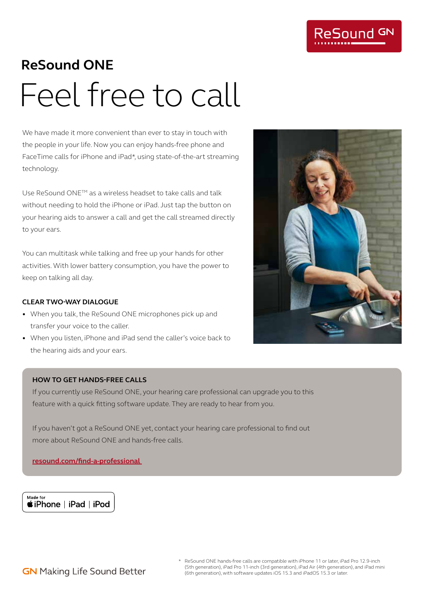

# **ReSound ONE** Feel free to call

We have made it more convenient than ever to stay in touch with the people in your life. Now you can enjoy hands-free phone and FaceTime calls for iPhone and iPad\*, using state-of-the-art streaming technology.

Use ReSound ONETM as a wireless headset to take calls and talk without needing to hold the iPhone or iPad. Just tap the button on your hearing aids to answer a call and get the call streamed directly to your ears.

You can multitask while talking and free up your hands for other activities. With lower battery consumption, you have the power to keep on talking all day.

### **CLEAR TWO-WAY DIALOGUE**

- When you talk, the ReSound ONE microphones pick up and transfer your voice to the caller.
- When you listen, iPhone and iPad send the caller's voice back to the hearing aids and your ears.

### **HOW TO GET HANDS-FREE CALLS**

If you currently use ReSound ONE, your hearing care professional can upgrade you to this feature with a quick fitting software update. They are ready to hear from you.

If you haven't got a ReSound ONE yet, contact your hearing care professional to find out more about ReSound ONE and hands-free calls.

**resound.com/find-a-professional** 

Made for **siPhone** | iPad | iPod



- **GN** Making Life Sound Better
- \* ReSound ONE hands-free calls are compatible with iPhone 11 or later, iPad Pro 12.9-inch (5th generation), iPad Pro 11-inch (3rd generation), iPad Air (4th generation), and iPad mini (6th generation), with software updates iOS 15.3 and iPadOS 15.3 or later.